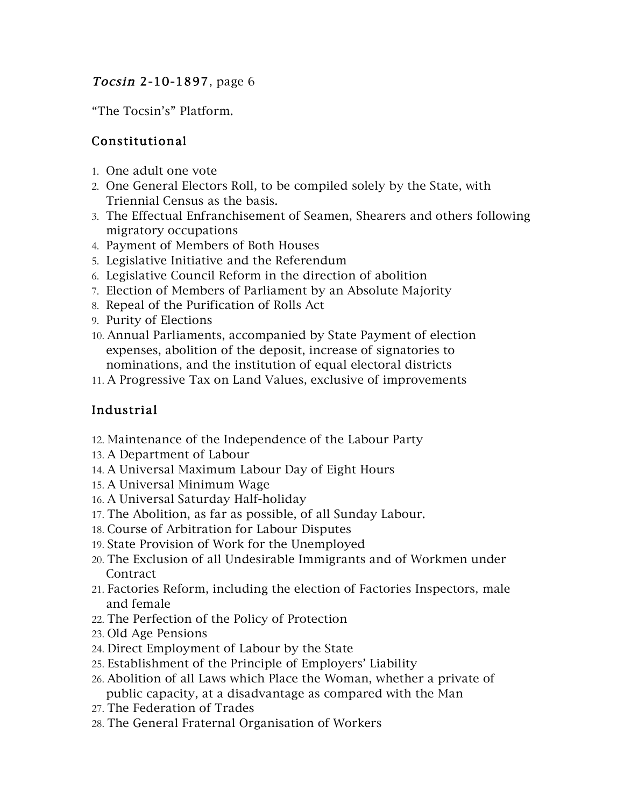#### Tocsin 2-10-1897, page 6

"The Tocsin's" Platform.

## Constitutional

- 1. One adult one vote
- 2. One General Electors Roll, to be compiled solely by the State, with Triennial Census as the basis.
- 3. The Effectual Enfranchisement of Seamen, Shearers and others following migratory occupations
- 4. Payment of Members of Both Houses
- 5. Legislative Initiative and the Referendum
- 6. Legislative Council Reform in the direction of abolition
- 7. Election of Members of Parliament by an Absolute Majority
- 8. Repeal of the Purification of Rolls Act
- 9. Purity of Elections
- 10. Annual Parliaments, accompanied by State Payment of election expenses, abolition of the deposit, increase of signatories to nominations, and the institution of equal electoral districts
- 11. A Progressive Tax on Land Values, exclusive of improvements

## Industrial

- 12. Maintenance of the Independence of the Labour Party
- 13. A Department of Labour
- 14. A Universal Maximum Labour Day of Eight Hours
- 15. A Universal Minimum Wage
- 16. A Universal Saturday Half-holiday
- 17. The Abolition, as far as possible, of all Sunday Labour.
- 18. Course of Arbitration for Labour Disputes
- 19. State Provision of Work for the Unemployed
- 20. The Exclusion of all Undesirable Immigrants and of Workmen under **Contract**
- 21. Factories Reform, including the election of Factories Inspectors, male and female
- 22. The Perfection of the Policy of Protection
- 23. Old Age Pensions
- 24. Direct Employment of Labour by the State
- 25. Establishment of the Principle of Employers' Liability
- 26. Abolition of all Laws which Place the Woman, whether a private of public capacity, at a disadvantage as compared with the Man
- 27. The Federation of Trades
- 28. The General Fraternal Organisation of Workers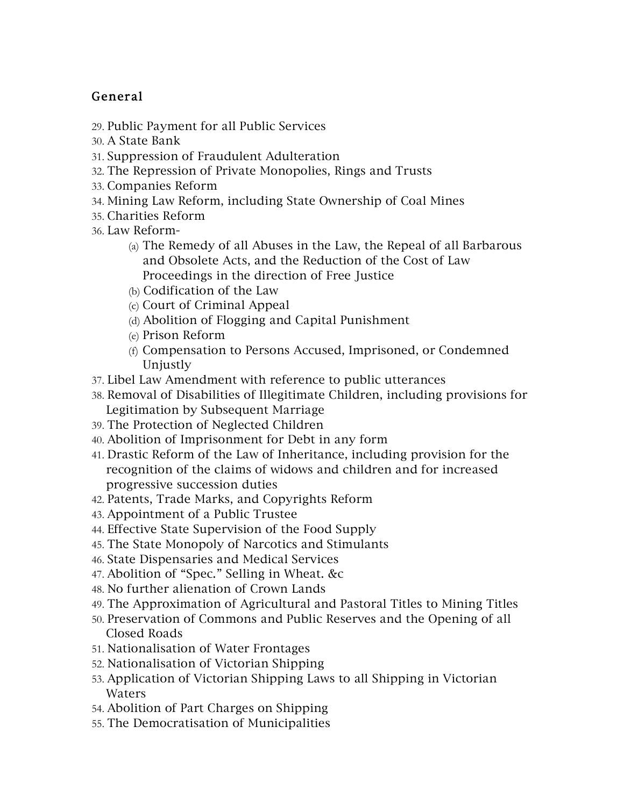# General

- 29. Public Payment for all Public Services
- 30. A State Bank
- 31. Suppression of Fraudulent Adulteration
- 32. The Repression of Private Monopolies, Rings and Trusts
- 33. Companies Reform
- 34. Mining Law Reform, including State Ownership of Coal Mines
- 35. Charities Reform
- 36. Law Reform-
	- (a) The Remedy of all Abuses in the Law, the Repeal of all Barbarous and Obsolete Acts, and the Reduction of the Cost of Law Proceedings in the direction of Free Justice
	- (b) Codification of the Law
	- (c) Court of Criminal Appeal
	- (d) Abolition of Flogging and Capital Punishment
	- (e) Prison Reform
	- (f) Compensation to Persons Accused, Imprisoned, or Condemned Unjustly
- 37. Libel Law Amendment with reference to public utterances
- 38. Removal of Disabilities of Illegitimate Children, including provisions for Legitimation by Subsequent Marriage
- 39. The Protection of Neglected Children
- 40. Abolition of Imprisonment for Debt in any form
- 41. Drastic Reform of the Law of Inheritance, including provision for the recognition of the claims of widows and children and for increased progressive succession duties
- 42. Patents, Trade Marks, and Copyrights Reform
- 43. Appointment of a Public Trustee
- 44. Effective State Supervision of the Food Supply
- 45. The State Monopoly of Narcotics and Stimulants
- 46. State Dispensaries and Medical Services
- 47. Abolition of "Spec." Selling in Wheat. &c
- 48. No further alienation of Crown Lands
- 49. The Approximation of Agricultural and Pastoral Titles to Mining Titles
- 50. Preservation of Commons and Public Reserves and the Opening of all Closed Roads
- 51. Nationalisation of Water Frontages
- 52. Nationalisation of Victorian Shipping
- 53. Application of Victorian Shipping Laws to all Shipping in Victorian Waters
- 54. Abolition of Part Charges on Shipping
- 55. The Democratisation of Municipalities